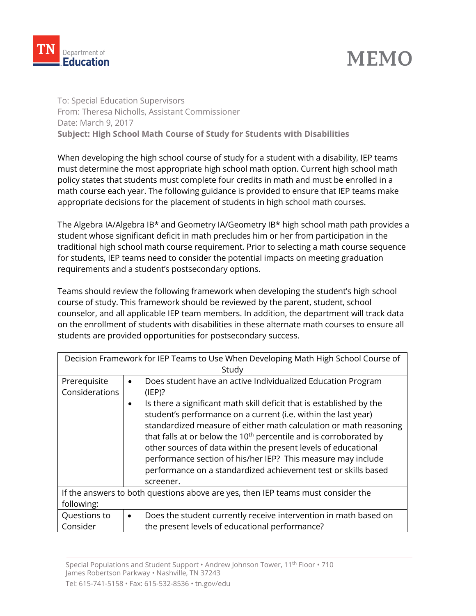

## **MEMO**

To: Special Education Supervisors From: Theresa Nicholls, Assistant Commissioner Date: March 9, 2017 **Subject: High School Math Course of Study for Students with Disabilities** 

When developing the high school course of study for a student with a disability, IEP teams must determine the most appropriate high school math option. Current high school math policy states that students must complete four credits in math and must be enrolled in a math course each year. The following guidance is provided to ensure that IEP teams make appropriate decisions for the placement of students in high school math courses.

The Algebra IA/Algebra IB\* and Geometry IA/Geometry IB\* high school math path provides a student whose significant deficit in math precludes him or her from participation in the traditional high school math course requirement. Prior to selecting a math course sequence for students, IEP teams need to consider the potential impacts on meeting graduation requirements and a student's postsecondary options.

Teams should review the following framework when developing the student's high school course of study. This framework should be reviewed by the parent, student, school counselor, and all applicable IEP team members. In addition, the department will track data on the enrollment of students with disabilities in these alternate math courses to ensure all students are provided opportunities for postsecondary success.

| Decision Framework for IEP Teams to Use When Developing Math High School Course of |                                                                                                                                                                                                                                                                                                                                                                                                                                                                                                                                                                                              |  |  |  |
|------------------------------------------------------------------------------------|----------------------------------------------------------------------------------------------------------------------------------------------------------------------------------------------------------------------------------------------------------------------------------------------------------------------------------------------------------------------------------------------------------------------------------------------------------------------------------------------------------------------------------------------------------------------------------------------|--|--|--|
| Study                                                                              |                                                                                                                                                                                                                                                                                                                                                                                                                                                                                                                                                                                              |  |  |  |
| Prerequisite<br>Considerations                                                     | Does student have an active Individualized Education Program<br>$\bullet$<br>(IEP)?<br>Is there a significant math skill deficit that is established by the<br>٠<br>student's performance on a current (i.e. within the last year)<br>standardized measure of either math calculation or math reasoning<br>that falls at or below the 10 <sup>th</sup> percentile and is corroborated by<br>other sources of data within the present levels of educational<br>performance section of his/her IEP? This measure may include<br>performance on a standardized achievement test or skills based |  |  |  |
| If the answers to both questions above are yes, then IEP teams must consider the   |                                                                                                                                                                                                                                                                                                                                                                                                                                                                                                                                                                                              |  |  |  |
| following:                                                                         |                                                                                                                                                                                                                                                                                                                                                                                                                                                                                                                                                                                              |  |  |  |
| Questions to                                                                       | Does the student currently receive intervention in math based on<br>$\bullet$                                                                                                                                                                                                                                                                                                                                                                                                                                                                                                                |  |  |  |
| Consider                                                                           | the present levels of educational performance?                                                                                                                                                                                                                                                                                                                                                                                                                                                                                                                                               |  |  |  |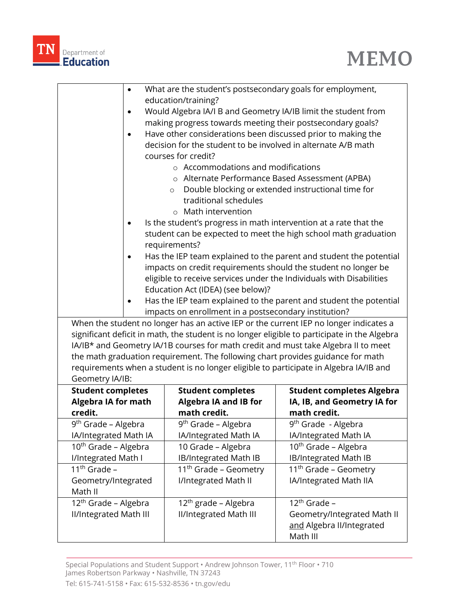



|                                                                                              | $\bullet$                                                                       | What are the student's postsecondary goals for employment,     |                                                                    |  |  |
|----------------------------------------------------------------------------------------------|---------------------------------------------------------------------------------|----------------------------------------------------------------|--------------------------------------------------------------------|--|--|
|                                                                                              |                                                                                 | education/training?                                            |                                                                    |  |  |
|                                                                                              | $\bullet$                                                                       | Would Algebra IA/I B and Geometry IA/IB limit the student from |                                                                    |  |  |
|                                                                                              | making progress towards meeting their postsecondary goals?                      |                                                                |                                                                    |  |  |
|                                                                                              | Have other considerations been discussed prior to making the<br>$\bullet$       |                                                                |                                                                    |  |  |
|                                                                                              |                                                                                 | decision for the student to be involved in alternate A/B math  |                                                                    |  |  |
|                                                                                              |                                                                                 | courses for credit?                                            |                                                                    |  |  |
|                                                                                              |                                                                                 | $\circ$ Accommodations and modifications                       |                                                                    |  |  |
|                                                                                              |                                                                                 | o Alternate Performance Based Assessment (APBA)                |                                                                    |  |  |
| Double blocking or extended instructional time for<br>$\circ$                                |                                                                                 |                                                                |                                                                    |  |  |
|                                                                                              |                                                                                 | traditional schedules                                          |                                                                    |  |  |
|                                                                                              |                                                                                 | $\circ$ Math intervention                                      |                                                                    |  |  |
|                                                                                              | Is the student's progress in math intervention at a rate that the               |                                                                |                                                                    |  |  |
| student can be expected to meet the high school math graduation                              |                                                                                 |                                                                |                                                                    |  |  |
|                                                                                              | requirements?                                                                   |                                                                |                                                                    |  |  |
|                                                                                              | Has the IEP team explained to the parent and student the potential<br>$\bullet$ |                                                                |                                                                    |  |  |
|                                                                                              | impacts on credit requirements should the student no longer be                  |                                                                |                                                                    |  |  |
|                                                                                              | eligible to receive services under the Individuals with Disabilities            |                                                                |                                                                    |  |  |
|                                                                                              | Education Act (IDEA) (see below)?                                               |                                                                |                                                                    |  |  |
|                                                                                              | $\bullet$                                                                       |                                                                | Has the IEP team explained to the parent and student the potential |  |  |
|                                                                                              |                                                                                 | impacts on enrollment in a postsecondary institution?          |                                                                    |  |  |
| When the student no longer has an active IEP or the current IEP no longer indicates a        |                                                                                 |                                                                |                                                                    |  |  |
| significant deficit in math, the student is no longer eligible to participate in the Algebra |                                                                                 |                                                                |                                                                    |  |  |
| IA/IB* and Geometry IA/1B courses for math credit and must take Algebra II to meet           |                                                                                 |                                                                |                                                                    |  |  |
| the math graduation requirement. The following chart provides guidance for math              |                                                                                 |                                                                |                                                                    |  |  |
| requirements when a student is no longer eligible to participate in Algebra IA/IB and        |                                                                                 |                                                                |                                                                    |  |  |
| Geometry IA/IB:                                                                              |                                                                                 |                                                                |                                                                    |  |  |
| <b>Student completes</b>                                                                     |                                                                                 | <b>Student completes</b>                                       | <b>Student completes Algebra</b>                                   |  |  |
| <b>Algebra IA for math</b>                                                                   |                                                                                 | <b>Algebra IA and IB for</b><br>math credit.                   | IA, IB, and Geometry IA for<br>math credit.                        |  |  |
| credit.                                                                                      |                                                                                 | 9 <sup>th</sup> Grade - Algebra                                | 9 <sup>th</sup> Grade - Algebra                                    |  |  |
| 9 <sup>th</sup> Grade – Algebra<br>IA/Integrated Math IA                                     |                                                                                 | IA/Integrated Math IA                                          | IA/Integrated Math IA                                              |  |  |
| 10 <sup>th</sup> Grade - Algebra                                                             |                                                                                 | 10 Grade - Algebra                                             | 10 <sup>th</sup> Grade - Algebra                                   |  |  |
| I/Integrated Math I                                                                          |                                                                                 | <b>IB/Integrated Math IB</b>                                   | <b>IB/Integrated Math IB</b>                                       |  |  |
| $11th$ Grade -                                                                               |                                                                                 | 11 <sup>th</sup> Grade - Geometry                              | 11 <sup>th</sup> Grade - Geometry                                  |  |  |
| Geometry/Integrated                                                                          |                                                                                 | I/Integrated Math II                                           | IA/Integrated Math IIA                                             |  |  |
| Math II                                                                                      |                                                                                 |                                                                |                                                                    |  |  |
| 12 <sup>th</sup> Grade - Algebra                                                             |                                                                                 | 12 <sup>th</sup> grade – Algebra                               | 12 <sup>th</sup> Grade -                                           |  |  |
| <b>II/Integrated Math III</b>                                                                |                                                                                 | <b>II/Integrated Math III</b>                                  | Geometry/Integrated Math II                                        |  |  |
|                                                                                              |                                                                                 |                                                                | and Algebra II/Integrated                                          |  |  |
|                                                                                              |                                                                                 |                                                                | Math III                                                           |  |  |